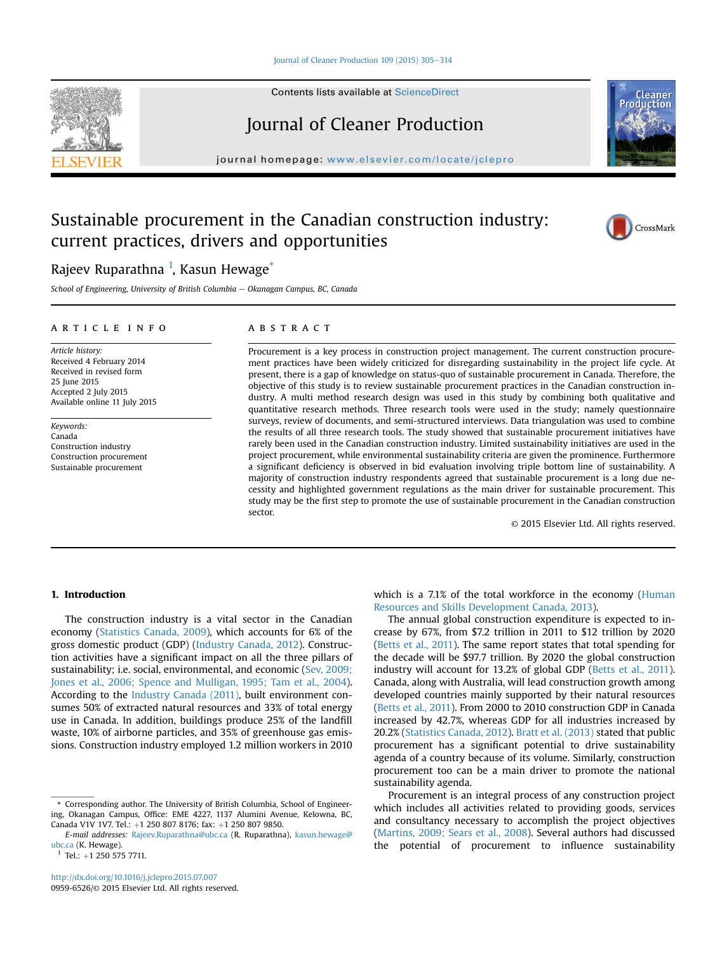#### [Journal of Cleaner Production 109 \(2015\) 305](http://dx.doi.org/10.1016/j.jclepro.2015.07.007)-[314](http://dx.doi.org/10.1016/j.jclepro.2015.07.007)

Contents lists available at ScienceDirect

## Journal of Cleaner Production

journal homepage: [www.elsevier.com/locate/jclepro](http://www.elsevier.com/locate/jclepro)

## Sustainable procurement in the Canadian construction industry: current practices, drivers and opportunities

### Rajeev Ruparathna <sup>1</sup>, Kasun Hewage $^{\ast}$

School of Engineering, University of British Columbia - Okanagan Campus, BC, Canada

#### article info

Article history: Received 4 February 2014 Received in revised form 25 June 2015 Accepted 2 July 2015 Available online 11 July 2015

Keywords: Canada Construction industry Construction procurement Sustainable procurement

#### **ABSTRACT**

Procurement is a key process in construction project management. The current construction procurement practices have been widely criticized for disregarding sustainability in the project life cycle. At present, there is a gap of knowledge on status-quo of sustainable procurement in Canada. Therefore, the objective of this study is to review sustainable procurement practices in the Canadian construction industry. A multi method research design was used in this study by combining both qualitative and quantitative research methods. Three research tools were used in the study; namely questionnaire surveys, review of documents, and semi-structured interviews. Data triangulation was used to combine the results of all three research tools. The study showed that sustainable procurement initiatives have rarely been used in the Canadian construction industry. Limited sustainability initiatives are used in the project procurement, while environmental sustainability criteria are given the prominence. Furthermore a significant deficiency is observed in bid evaluation involving triple bottom line of sustainability. A majority of construction industry respondents agreed that sustainable procurement is a long due necessity and highlighted government regulations as the main driver for sustainable procurement. This study may be the first step to promote the use of sustainable procurement in the Canadian construction sector.

© 2015 Elsevier Ltd. All rights reserved.

#### 1. Introduction

The construction industry is a vital sector in the Canadian economy (Statistics Canada, 2009), which accounts for 6% of the gross domestic product (GDP) (Industry Canada, 2012). Construction activities have a significant impact on all the three pillars of sustainability; i.e. social, environmental, and economic (Sev, 2009; Jones et al., 2006; Spence and Mulligan, 1995; Tam et al., 2004). According to the Industry Canada (2011), built environment consumes 50% of extracted natural resources and 33% of total energy use in Canada. In addition, buildings produce 25% of the landfill waste, 10% of airborne particles, and 35% of greenhouse gas emissions. Construction industry employed 1.2 million workers in 2010

which is a 7.1% of the total workforce in the economy (Human Resources and Skills Development Canada, 2013).

The annual global construction expenditure is expected to increase by 67%, from \$7.2 trillion in 2011 to \$12 trillion by 2020 (Betts et al., 2011). The same report states that total spending for the decade will be \$97.7 trillion. By 2020 the global construction industry will account for 13.2% of global GDP (Betts et al., 2011). Canada, along with Australia, will lead construction growth among developed countries mainly supported by their natural resources (Betts et al., 2011). From 2000 to 2010 construction GDP in Canada increased by 42.7%, whereas GDP for all industries increased by 20.2% (Statistics Canada, 2012). Bratt et al. (2013) stated that public procurement has a significant potential to drive sustainability agenda of a country because of its volume. Similarly, construction procurement too can be a main driver to promote the national sustainability agenda.

Procurement is an integral process of any construction project which includes all activities related to providing goods, services and consultancy necessary to accomplish the project objectives (Martins, 2009; Sears et al., 2008). Several authors had discussed the potential of procurement to influence sustainability





Produc

<sup>\*</sup> Corresponding author. The University of British Columbia, School of Engineering, Okanagan Campus, Office: EME 4227, 1137 Alumini Avenue, Kelowna, BC, Canada V1V 1V7. Tel.: +1 250 807 8176; fax: +1 250 807 9850.

E-mail addresses: [Rajeev.Ruparathna@ubc.ca](mailto:Rajeev.Ruparathna@ubc.ca) (R. Ruparathna), [kasun.hewage@](mailto:kasun.hewage@ubc.ca) [ubc.ca](mailto:kasun.hewage@ubc.ca) (K. Hewage).

 $1$  Tel.: +1 250 575 7711.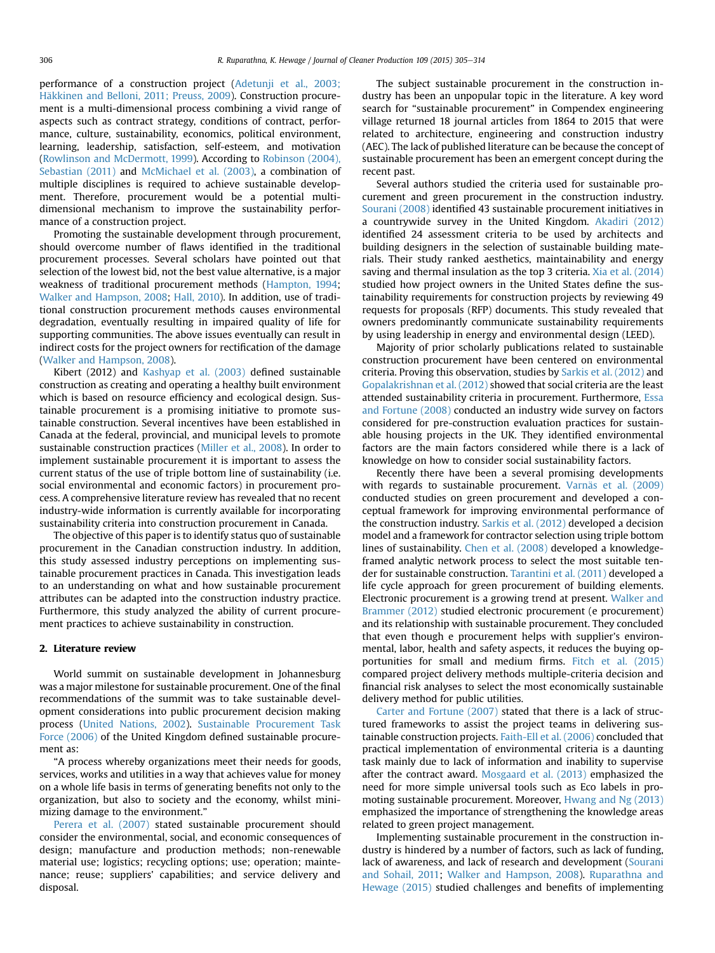performance of a construction project (Adetunji et al., 2003; Häkkinen and Belloni, 2011; Preuss, 2009). Construction procurement is a multi-dimensional process combining a vivid range of aspects such as contract strategy, conditions of contract, performance, culture, sustainability, economics, political environment, learning, leadership, satisfaction, self-esteem, and motivation (Rowlinson and McDermott, 1999). According to Robinson (2004), Sebastian (2011) and McMichael et al. (2003), a combination of multiple disciplines is required to achieve sustainable development. Therefore, procurement would be a potential multidimensional mechanism to improve the sustainability performance of a construction project.

Promoting the sustainable development through procurement, should overcome number of flaws identified in the traditional procurement processes. Several scholars have pointed out that selection of the lowest bid, not the best value alternative, is a major weakness of traditional procurement methods (Hampton, 1994; Walker and Hampson, 2008; Hall, 2010). In addition, use of traditional construction procurement methods causes environmental degradation, eventually resulting in impaired quality of life for supporting communities. The above issues eventually can result in indirect costs for the project owners for rectification of the damage (Walker and Hampson, 2008).

Kibert (2012) and Kashyap et al. (2003) defined sustainable construction as creating and operating a healthy built environment which is based on resource efficiency and ecological design. Sustainable procurement is a promising initiative to promote sustainable construction. Several incentives have been established in Canada at the federal, provincial, and municipal levels to promote sustainable construction practices (Miller et al., 2008). In order to implement sustainable procurement it is important to assess the current status of the use of triple bottom line of sustainability (i.e. social environmental and economic factors) in procurement process. A comprehensive literature review has revealed that no recent industry-wide information is currently available for incorporating sustainability criteria into construction procurement in Canada.

The objective of this paper is to identify status quo of sustainable procurement in the Canadian construction industry. In addition, this study assessed industry perceptions on implementing sustainable procurement practices in Canada. This investigation leads to an understanding on what and how sustainable procurement attributes can be adapted into the construction industry practice. Furthermore, this study analyzed the ability of current procurement practices to achieve sustainability in construction.

#### 2. Literature review

World summit on sustainable development in Johannesburg was a major milestone for sustainable procurement. One of the final recommendations of the summit was to take sustainable development considerations into public procurement decision making process (United Nations, 2002). Sustainable Procurement Task Force (2006) of the United Kingdom defined sustainable procurement as:

"A process whereby organizations meet their needs for goods, services, works and utilities in a way that achieves value for money on a whole life basis in terms of generating benefits not only to the organization, but also to society and the economy, whilst minimizing damage to the environment."

Perera et al. (2007) stated sustainable procurement should consider the environmental, social, and economic consequences of design; manufacture and production methods; non-renewable material use; logistics; recycling options; use; operation; maintenance; reuse; suppliers' capabilities; and service delivery and disposal.

The subject sustainable procurement in the construction industry has been an unpopular topic in the literature. A key word search for "sustainable procurement" in Compendex engineering village returned 18 journal articles from 1864 to 2015 that were related to architecture, engineering and construction industry (AEC). The lack of published literature can be because the concept of sustainable procurement has been an emergent concept during the recent past.

Several authors studied the criteria used for sustainable procurement and green procurement in the construction industry. Sourani (2008) identified 43 sustainable procurement initiatives in a countrywide survey in the United Kingdom. Akadiri (2012) identified 24 assessment criteria to be used by architects and building designers in the selection of sustainable building materials. Their study ranked aesthetics, maintainability and energy saving and thermal insulation as the top 3 criteria. Xia et al. (2014) studied how project owners in the United States define the sustainability requirements for construction projects by reviewing 49 requests for proposals (RFP) documents. This study revealed that owners predominantly communicate sustainability requirements by using leadership in energy and environmental design (LEED).

Majority of prior scholarly publications related to sustainable construction procurement have been centered on environmental criteria. Proving this observation, studies by Sarkis et al. (2012) and Gopalakrishnan et al. (2012) showed that social criteria are the least attended sustainability criteria in procurement. Furthermore, Essa and Fortune (2008) conducted an industry wide survey on factors considered for pre-construction evaluation practices for sustainable housing projects in the UK. They identified environmental factors are the main factors considered while there is a lack of knowledge on how to consider social sustainability factors.

Recently there have been a several promising developments with regards to sustainable procurement. Varnäs et al. (2009) conducted studies on green procurement and developed a conceptual framework for improving environmental performance of the construction industry. Sarkis et al. (2012) developed a decision model and a framework for contractor selection using triple bottom lines of sustainability. Chen et al. (2008) developed a knowledgeframed analytic network process to select the most suitable tender for sustainable construction. Tarantini et al. (2011) developed a life cycle approach for green procurement of building elements. Electronic procurement is a growing trend at present. Walker and Brammer (2012) studied electronic procurement (e procurement) and its relationship with sustainable procurement. They concluded that even though e procurement helps with supplier's environmental, labor, health and safety aspects, it reduces the buying opportunities for small and medium firms. Fitch et al. (2015) compared project delivery methods multiple-criteria decision and financial risk analyses to select the most economically sustainable delivery method for public utilities.

Carter and Fortune (2007) stated that there is a lack of structured frameworks to assist the project teams in delivering sustainable construction projects. Faith-Ell et al. (2006) concluded that practical implementation of environmental criteria is a daunting task mainly due to lack of information and inability to supervise after the contract award. Mosgaard et al. (2013) emphasized the need for more simple universal tools such as Eco labels in promoting sustainable procurement. Moreover, Hwang and Ng (2013) emphasized the importance of strengthening the knowledge areas related to green project management.

Implementing sustainable procurement in the construction industry is hindered by a number of factors, such as lack of funding, lack of awareness, and lack of research and development (Sourani and Sohail, 2011; Walker and Hampson, 2008). Ruparathna and Hewage (2015) studied challenges and benefits of implementing